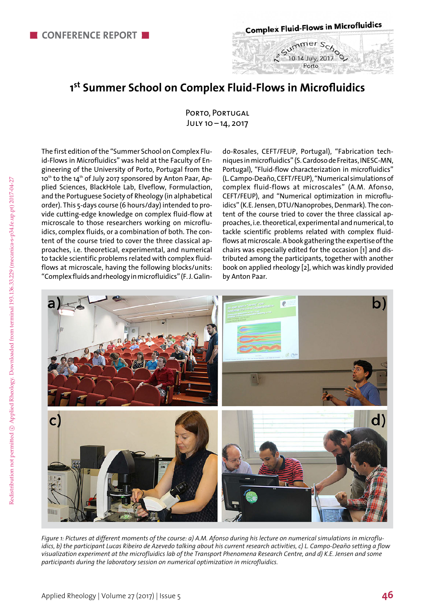**Complex Fluid-Flows in Microfluidics** 

Porto

## **1st Summer School on Complex Fluid-Flows in Microfluidics**

Porto, Portugal July 10 – 14, 2017

The first edition of the "Summer School on Complex Fluid-Flows in Microfluidics" was held at the Faculty of Engineering of the University of Porto, Portugal from the 10<sup>th</sup> to the 14<sup>th</sup> of July 2017 sponsored by Anton Paar, Applied Sciences, BlackHole Lab, Elveflow, Formulaction, and the Portuguese Society of Rheology (in alphabetical order). This 5-days course (6 hours/day) intended to provide cutting-edge knowledge on complex fluid-flow at microscale to those researchers working on microfluidics, complex fluids, or a combination of both. The content of the course tried to cover the three classical approaches, i.e. theoretical, experimental, and numerical to tackle scientific problems related with complex fluidflows at microscale, having the following blocks/units: "Complex fluids and rheology in microfluidics" (F. J. Galin-

do-Rosales, CEFT/FEUP, Portugal), "Fabrication techniques in microfluidics" (S. Cardoso de Freitas, INESC-MN, Portugal), "Fluid-flow characterization in microfluidics" (L. Campo-Deaño, CEFT/FEUP), "Numerical simulations of complex fluid-flows at microscales" (A.M. Afonso, CEFT/FEUP), and "Numerical optimization in microfluidics" (K.E. Jensen, DTU/Nanoprobes, Denmark). The content of the course tried to cover the three classical approaches, i.e. theoretical, experimental and numerical, to tackle scientific problems related with complex fluidflows at microscale. A book gathering the expertise of the chairs was especially edited for the occasion [1] and distributed among the participants, together with another book on applied rheology [2], which was kindly provided by Anton Paar.



*Figure 1: Pictures at different moments of the course: a) A.M. Afonso during his lecture on numerical simulations in microfluidics, b) the participant Lucas Ribeiro de Azevedo talking about his current research activities, c) L. Campo-Deaño setting a flow visualization experiment at the microfluidics lab of the Transport Phenomena Research Centre, and d) K.E. Jensen and some participants during the laboratory session on numerical optimization in microfluidics.*